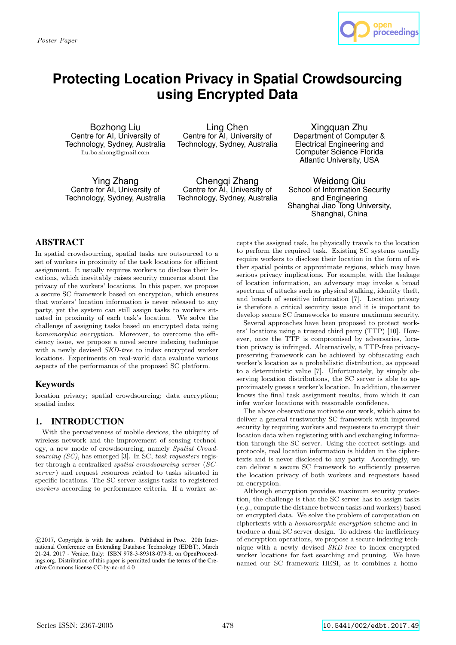*Poster Paper*



# **Protecting Location Privacy in Spatial Crowdsourcing using Encrypted Data**

Bozhong Liu Centre for AI, University of Technology, Sydney, Australia liu.bo.zhong@gmail.com

Ling Chen Centre for AI, University of Technology, Sydney, Australia

Ying Zhang Centre for AI, University of Technology, Sydney, Australia

Chengqi Zhang Centre for AI, University of Technology, Sydney, Australia

Xingquan Zhu Department of Computer & Electrical Engineering and Computer Science Florida Atlantic University, USA

Weidong Qiu School of Information Security and Engineering Shanghai Jiao Tong University, Shanghai, China

# ABSTRACT

In spatial crowdsourcing, spatial tasks are outsourced to a set of workers in proximity of the task locations for efficient assignment. It usually requires workers to disclose their locations, which inevitably raises security concerns about the privacy of the workers' locations. In this paper, we propose a secure SC framework based on encryption, which ensures that workers' location information is never released to any party, yet the system can still assign tasks to workers situated in proximity of each task's location. We solve the challenge of assigning tasks based on encrypted data using *homomorphic encryption*. Moreover, to overcome the efficiency issue, we propose a novel secure indexing technique with a newly devised *SKD-tree* to index encrypted worker locations. Experiments on real-world data evaluate various aspects of the performance of the proposed SC platform.

# Keywords

location privacy; spatial crowdsourcing; data encryption; spatial index

# 1. INTRODUCTION

With the pervasiveness of mobile devices, the ubiquity of wireless network and the improvement of sensing technology, a new mode of crowdsourcing, namely *Spatial Crowdsourcing (SC)*, has emerged [3]. In SC, *task requesters* register through a centralized *spatial crowdsourcing server* (*SCserver*) and request resources related to tasks situated in specific locations. The SC server assigns tasks to registered *workers* according to performance criteria. If a worker accepts the assigned task, he physically travels to the location to perform the required task. Existing SC systems usually require workers to disclose their location in the form of either spatial points or approximate regions, which may have serious privacy implications. For example, with the leakage of location information, an adversary may invoke a broad spectrum of attacks such as physical stalking, identity theft, and breach of sensitive information [7]. Location privacy is therefore a critical security issue and it is important to develop secure SC frameworks to ensure maximum security.

Several approaches have been proposed to protect workers' locations using a trusted third party (TTP) [10]. However, once the TTP is compromised by adversaries, location privacy is infringed. Alternatively, a TTP-free privacypreserving framework can be achieved by obfuscating each worker's location as a probabilistic distribution, as opposed to a deterministic value [7]. Unfortunately, by simply observing location distributions, the SC server is able to approximately guess a worker's location. In addition, the server knows the final task assignment results, from which it can infer worker locations with reasonable confidence.

The above observations motivate our work, which aims to deliver a general trustworthy SC framework with improved security by requiring workers and requesters to encrypt their location data when registering with and exchanging information through the SC server. Using the correct settings and protocols, real location information is hidden in the ciphertexts and is never disclosed to any party. Accordingly, we can deliver a secure SC framework to sufficiently preserve the location privacy of both workers and requesters based on encryption.

Although encryption provides maximum security protection, the challenge is that the SC server has to assign tasks (*e.g.*, compute the distance between tasks and workers) based on encrypted data. We solve the problem of computation on ciphertexts with a *homomorphic encryption* scheme and introduce a dual SC server design. To address the inefficiency of encryption operations, we propose a secure indexing technique with a newly devised *SKD-tree* to index encrypted worker locations for fast searching and pruning. We have named our SC framework HESI, as it combines a homo-

*<sup>⃝</sup>*c 2017, Copyright is with the authors. Published in Proc. 20th International Conference on Extending Database Technology (EDBT), March 21-24, 2017 - Venice, Italy: ISBN 978-3-89318-073-8, on OpenProceedings.org. Distribution of this paper is permitted under the terms of the Creative Commons license CC-by-nc-nd 4.0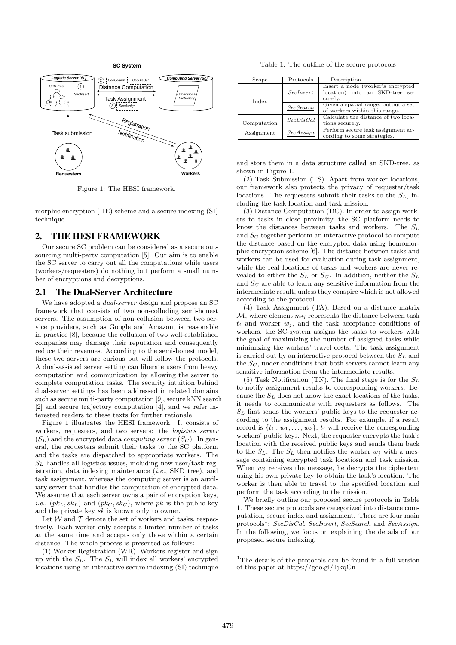

Figure 1: The HESI framework.

morphic encryption (HE) scheme and a secure indexing (SI) technique.

#### 2. THE HESI FRAMEWORK

Our secure SC problem can be considered as a secure outsourcing multi-party computation [5]. Our aim is to enable the SC server to carry out all the computations while users (workers/requesters) do nothing but perform a small number of encryptions and decryptions.

#### 2.1 The Dual-Server Architecture

We have adopted a *dual-server* design and propose an SC framework that consists of two non-colluding semi-honest servers. The assumption of non-collusion between two service providers, such as Google and Amazon, is reasonable in practice [8], because the collusion of two well-established companies may damage their reputation and consequently reduce their revenues. According to the semi-honest model, these two servers are curious but will follow the protocols. A dual-assisted server setting can liberate users from heavy computation and communication by allowing the server to complete computation tasks. The security intuition behind dual-server settings has been addressed in related domains such as secure multi-party computation [9], secure kNN search [2] and secure trajectory computation [4], and we refer interested readers to these texts for further rationale.

Figure 1 illustrates the HESI framework. It consists of workers, requesters, and two servers: the *logistics server*  $(S_L)$  and the encrypted data *computing server*  $(S_C)$ . In general, the requesters submit their tasks to the SC platform and the tasks are dispatched to appropriate workers. The  $S_L$  handles all logistics issues, including new user/task registration, data indexing maintenance (*i.e.*, SKD tree), and task assignment, whereas the computing server is an auxiliary server that handles the computation of encrypted data. We assume that each server owns a pair of encryption keys, *i.e.*,  $(pk_L, sk_L)$  and  $(pk_C, sk_C)$ , where *pk* is the public key and the private key *sk* is known only to owner.

Let  $W$  and  $T$  denote the set of workers and tasks, respectively. Each worker only accepts a limited number of tasks at the same time and accepts only those within a certain distance. The whole process is presented as follows:

(1) Worker Registration (WR). Workers register and sign up with the *SL*. The *S<sup>L</sup>* will index all workers' encrypted locations using an interactive secure indexing (SI) technique

Table 1: The outline of the secure protocols

| Scope       | Protocols                    | Description                                                                    |  |
|-------------|------------------------------|--------------------------------------------------------------------------------|--|
| Index       | SecInsert                    | Insert a node (worker's encrypted<br>location) into an SKD-tree se-<br>curely. |  |
|             | SecSearch                    | Given a spatial range, output a set<br>of workers within this range.           |  |
| Computation | SecDisCal<br>tions securely. |                                                                                |  |
| Assignment  | SecAssian                    | Perform secure task assignment ac-<br>cording to some strategies.              |  |
|             |                              | Calculate the distance of two loca-                                            |  |

and store them in a data structure called an SKD-tree, as shown in Figure 1.

(2) Task Submission (TS). Apart from worker locations, our framework also protects the privacy of requester/task locations. The requesters submit their tasks to the *SL*, including the task location and task mission.

(3) Distance Computation (DC). In order to assign workers to tasks in close proximity, the SC platform needs to know the distances between tasks and workers. The *S<sup>L</sup>* and *S<sup>C</sup>* together perform an interactive protocol to compute the distance based on the encrypted data using homomorphic encryption scheme [6]. The distance between tasks and workers can be used for evaluation during task assignment, while the real locations of tasks and workers are never revealed to either the  $S_L$  or  $S_C$ . In addition, neither the  $S_L$ and *S<sup>C</sup>* are able to learn any sensitive information from the intermediate result, unless they conspire which is not allowed according to the protocol.

(4) Task Assignment (TA). Based on a distance matrix  $M$ , where element  $m_{ij}$  represents the distance between task  $t_i$  and worker  $w_j$ , and the task acceptance conditions of workers, the SC-system assigns the tasks to workers with the goal of maximizing the number of assigned tasks while minimizing the workers' travel costs. The task assignment is carried out by an interactive protocol between the *S<sup>L</sup>* and the  $S_C$ , under conditions that both servers cannot learn any sensitive information from the intermediate results.

(5) Task Notification (TN). The final stage is for the *S<sup>L</sup>* to notify assignment results to corresponding workers. Because the *S<sup>L</sup>* does not know the exact locations of the tasks, it needs to communicate with requesters as follows. The  $S_L$  first sends the workers' public keys to the requester according to the assignment results. For example, if a result record is  $\{t_i : w_1, \ldots, w_k\}, t_i$  will receive the corresponding workers' public keys. Next, the requester encrypts the task's location with the received public keys and sends them back to the  $S_L$ . The  $S_L$  then notifies the worker  $w_j$  with a message containing encrypted task locatiosn and task mission. When  $w_i$  receives the message, he decrypts the ciphertext using his own private key to obtain the task's location. The worker is then able to travel to the specified location and perform the task according to the mission.

We briefly outline our proposed secure protocols in Table 1. These secure protocols are categorized into distance computation, secure index and assignment. There are four main protocols<sup>1</sup> : *SecDisCal*, *SecInsert*, *SecSearch* and *SecAssign*. In the following, we focus on explaining the details of our proposed secure indexing.

 $^1\mathrm{The}$  details of the protocols can be found in a full version of this paper at https://goo.gl/1jkqCn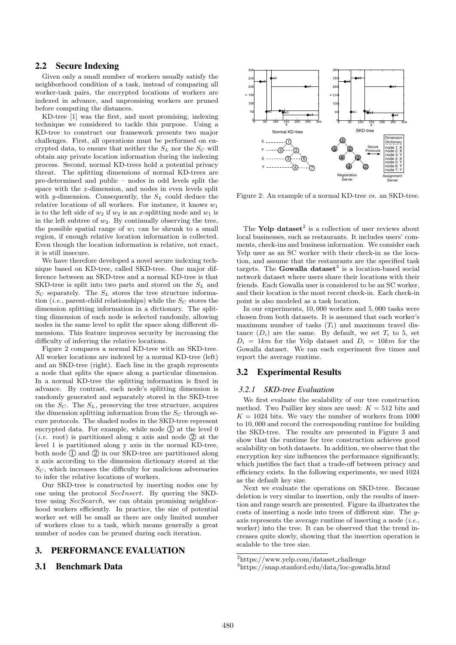#### 2.2 Secure Indexing

Given only a small number of workers usually satisfy the neighborhood condition of a task, instead of comparing all worker-task pairs, the encrypted locations of workers are indexed in advance, and unpromising workers are pruned before computing the distances.

KD-tree [1] was the first, and most promising, indexing technique we considered to tackle this purpose. Using a KD-tree to construct our framework presents two major challenges. First, all operations must be performed on encrypted data, to ensure that neither the  $S_L$  nor the  $S_C$  will obtain any private location information during the indexing process. Second, normal KD-trees hold a potential privacy threat. The splitting dimensions of normal KD-trees are pre-determined and public – nodes in odd levels split the space with the *x* -dimension, and nodes in even levels split with *y*-dimension. Consequently, the *S<sup>L</sup>* could deduce the relative locations of all workers. For instance, it knows *w*<sup>1</sup> is to the left side of  $w_2$  if  $w_2$  is an *x*-splitting node and  $w_1$  is in the left subtree of *w*2. By continually observing the tree, the possible spatial range of  $w_1$  can be shrunk to a small region, if enough relative location information is collected. Even though the location information is relative, not exact, it is still insecure.

We have therefore developed a novel secure indexing technique based on KD-tree, called SKD-tree. One major difference between an SKD-tree and a normal KD-tree is that SKD-tree is split into two parts and stored on the *S<sup>L</sup>* and *S<sup>C</sup>* separately. The *S<sup>L</sup>* stores the tree structure information (*i.e.*, parent-child relationships) while the *S<sup>C</sup>* stores the dimension splitting information in a dictionary. The splitting dimension of each node is selected randomly, allowing nodes in the same level to split the space along different dimensions. This feature improves security by increasing the difficulty of inferring the relative locations.

Figure 2 compares a normal KD-tree with an SKD-tree. All worker locations are indexed by a normal KD-tree (left) and an SKD-tree (right). Each line in the graph represents a node that splits the space along a particular dimension. In a normal KD-tree the splitting information is fixed in advance. By contrast, each node's splitting dimension is randomly generated and separately stored in the SKD-tree on the  $S_C$ . The  $S_L$ , preserving the tree structure, acquires the dimension splitting information from the  $S_C$  through secure protocols. The shaded nodes in the SKD-tree represent encrypted data. For example, while node  $(1)$  at the level  $0$ (*i.e.* root) is partitioned along x axis and node  $(2)$  at the level 1 is partitioned along y axis in the normal KD-tree, both node  $(1)$  and  $(2)$  in our SKD-tree are partitioned along x axis according to the dimension dictionary stored at the  $S_C$ , which increases the difficulty for malicious adversaries to infer the relative locations of workers.

Our SKD-tree is constructed by inserting nodes one by one using the protocol *SecInsert*. By quering the SKDtree using *SecSearch*, we can obtain promising neighborhood workers efficiently. In practice, the size of potential worker set will be small as there are only limited number of workers close to a task, which means generally a great number of nodes can be pruned during each iteration.

## 3. PERFORMANCE EVALUATION

## 3.1 Benchmark Data



Figure 2: An example of a normal KD-tree *vs.* an SKD-tree.

The Yelp dataset<sup>2</sup> is a collection of user reviews about local businesses, such as restaurants. It includes users' comments, check-ins and business information. We consider each Yelp user as an SC worker with their check-in as the location, and assume that the restaurants are the specified task targets. The **Gowalla dataset**<sup>3</sup> is a location-based social network dataset where users share their locations with their friends. Each Gowalla user is considered to be an SC worker, and their location is the most recent check-in. Each check-in point is also modeled as a task location.

In our experiments, 10*,* 000 workers and 5*,* 000 tasks were chosen from both datasets. It is assumed that each worker's maximum number of tasks  $(T_i)$  and maximum travel distance  $(D_i)$  are the same. By default, we set  $T_i$  to 5, set  $D_i = 1km$  for the Yelp dataset and  $D_i = 10km$  for the Gowalla dataset. We ran each experiment five times and report the average runtime.

#### 3.2 Experimental Results

#### *3.2.1 SKD-tree Evaluation*

We first evaluate the scalability of our tree construction method. Two Paillier key sizes are used:  $K = 512$  bits and  $K = 1024$  bits. We vary the number of workers from 1000 to 10*,* 000 and record the corresponding runtime for building the SKD-tree. The results are presented in Figure 3 and show that the runtime for tree construction achieves good scalability on both datasets. In addition, we observe that the encryption key size influences the performance significantly, which justifies the fact that a trade-off between privacy and efficiency exists. In the following experiments, we used 1024 as the default key size.

Next we evaluate the operations on SKD-tree. Because deletion is very similar to insertion, only the results of insertion and range search are presented. Figure 4a illustrates the costs of inserting a node into trees of different size. The *y*axis represents the average runtime of inserting a node (*i.e.*, worker) into the tree. It can be observed that the trend increases quite slowly, showing that the insertion operation is scalable to the tree size.

 $2$ https://www.yelp.com/dataset\_challenge

<sup>3</sup>https://snap.stanford.edu/data/loc-gowalla.html